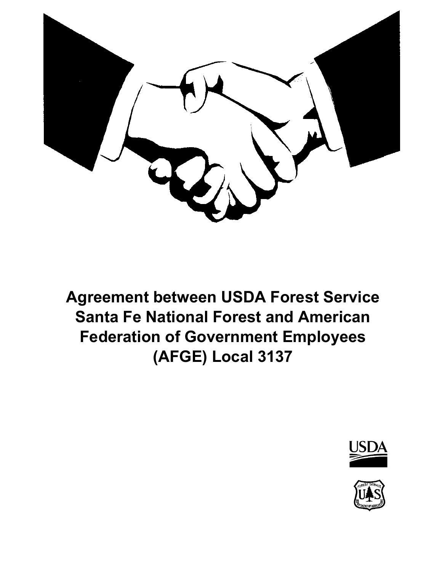

**Agreement between USDA Forest Service Santa Fe National Forest and American Federation of Government Employees (AFGE) Local 3137**



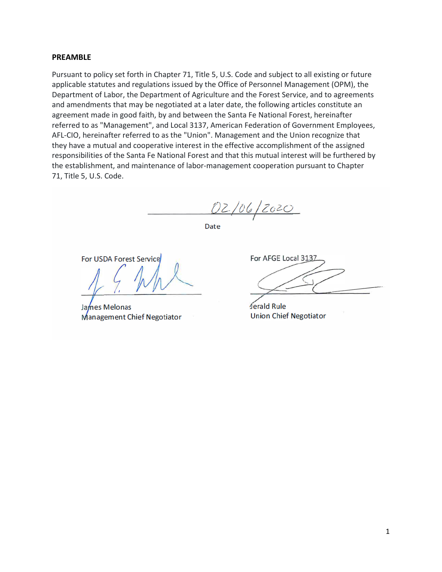#### **PREAMBLE**

Pursuant to policy set forth in Chapter 71, Title 5, U.S. Code and subject to all existing or future applicable statutes and regulations issued by the Office of Personnel Management (OPM), the Department of Labor, the Department of Agriculture and the Forest Service, and to agreements and amendments that may be negotiated at a later date, the following articles constitute an agreement made in good faith, by and between the Santa Fe National Forest, hereinafter referred to as "Management", and Local 3137, American Federation of Government Employees, AFL-CIO, hereinafter referred to as the "Union". Management and the Union recognize that they have a mutual and cooperative interest in the effective accomplishment of the assigned responsibilities of the Santa Fe National Forest and that this mutual interest will be furthered by the establishment, and maintenance of labor-management cooperation pursuant to Chapter 71, Title 5, U.S. Code.

02/06/2020

Date

For USDA Forest Service

James Melonas Management Chief Negotiator

For AFGE Local 3137

Jerald Rule **Union Chief Negotiator**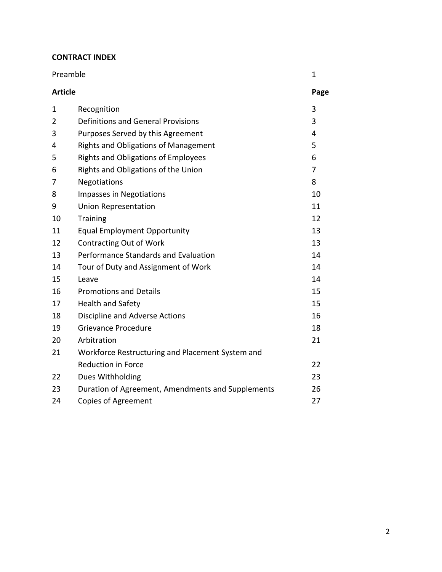## **CONTRACT INDEX**

| Preamble       |                                                   | 1<br>Page |
|----------------|---------------------------------------------------|-----------|
| <b>Article</b> |                                                   |           |
| $\mathbf{1}$   | Recognition                                       | 3         |
| $\overline{2}$ | <b>Definitions and General Provisions</b>         | 3         |
| 3              | Purposes Served by this Agreement                 | 4         |
| 4              | <b>Rights and Obligations of Management</b>       | 5         |
| 5              | <b>Rights and Obligations of Employees</b>        | 6         |
| 6              | Rights and Obligations of the Union               | 7         |
| 7              | Negotiations                                      | 8         |
| 8              | Impasses in Negotiations                          | 10        |
| 9              | <b>Union Representation</b>                       | 11        |
| 10             | <b>Training</b>                                   | 12        |
| 11             | <b>Equal Employment Opportunity</b>               | 13        |
| 12             | <b>Contracting Out of Work</b>                    | 13        |
| 13             | Performance Standards and Evaluation              | 14        |
| 14             | Tour of Duty and Assignment of Work               | 14        |
| 15             | Leave                                             | 14        |
| 16             | <b>Promotions and Details</b>                     | 15        |
| 17             | <b>Health and Safety</b>                          | 15        |
| 18             | Discipline and Adverse Actions                    | 16        |
| 19             | Grievance Procedure                               | 18        |
| 20             | Arbitration                                       | 21        |
| 21             | Workforce Restructuring and Placement System and  |           |
|                | <b>Reduction in Force</b>                         | 22        |
| 22             | Dues Withholding                                  | 23        |
| 23             | Duration of Agreement, Amendments and Supplements | 26        |
| 24             | <b>Copies of Agreement</b>                        | 27        |

2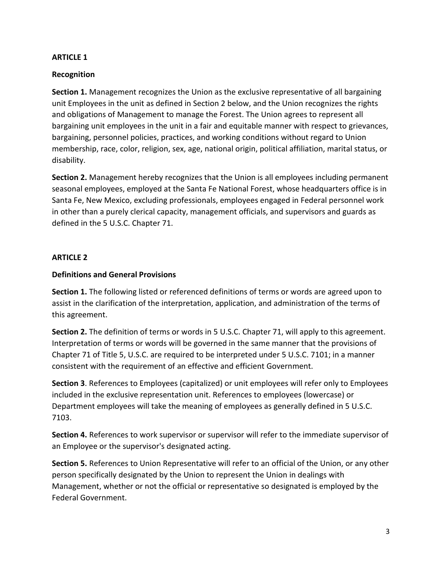#### **Recognition**

**Section 1.** Management recognizes the Union as the exclusive representative of all bargaining unit Employees in the unit as defined in Section 2 below, and the Union recognizes the rights and obligations of Management to manage the Forest. The Union agrees to represent all bargaining unit employees in the unit in a fair and equitable manner with respect to grievances, bargaining, personnel policies, practices, and working conditions without regard to Union membership, race, color, religion, sex, age, national origin, political affiliation, marital status, or disability.

**Section 2.** Management hereby recognizes that the Union is all employees including permanent seasonal employees, employed at the Santa Fe National Forest, whose headquarters office is in Santa Fe, New Mexico, excluding professionals, employees engaged in Federal personnel work in other than a purely clerical capacity, management officials, and supervisors and guards as defined in the 5 U.S.C. Chapter 71.

#### **ARTICLE 2**

#### **Definitions and General Provisions**

**Section 1.** The following listed or referenced definitions of terms or words are agreed upon to assist in the clarification of the interpretation, application, and administration of the terms of this agreement.

**Section 2.** The definition of terms or words in 5 U.S.C. Chapter 71, will apply to this agreement. Interpretation of terms or words will be governed in the same manner that the provisions of Chapter 71 of Title 5, U.S.C. are required to be interpreted under 5 U.S.C. 7101; in a manner consistent with the requirement of an effective and efficient Government.

**Section 3**. References to Employees (capitalized) or unit employees will refer only to Employees included in the exclusive representation unit. References to employees (lowercase) or Department employees will take the meaning of employees as generally defined in 5 U.S.C. 7103.

**Section 4.** References to work supervisor or supervisor will refer to the immediate supervisor of an Employee or the supervisor's designated acting.

**Section 5.** References to Union Representative will refer to an official of the Union, or any other person specifically designated by the Union to represent the Union in dealings with Management, whether or not the official or representative so designated is employed by the Federal Government.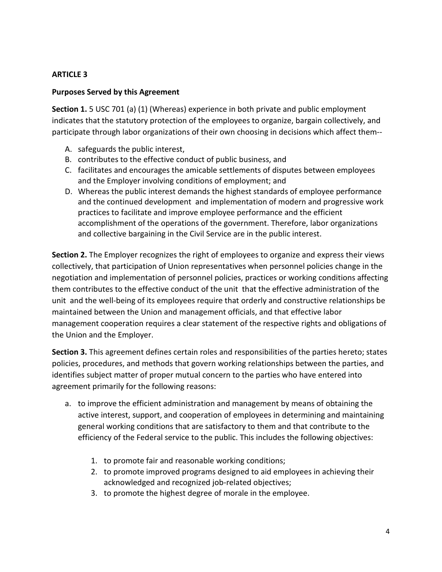#### **Purposes Served by this Agreement**

**Section 1.** 5 USC 701 (a) (1) (Whereas) experience in both private and public employment indicates that the statutory protection of the employees to organize, bargain collectively, and participate through labor organizations of their own choosing in decisions which affect them--

- A. safeguards the public interest,
- B. contributes to the effective conduct of public business, and
- C. facilitates and encourages the amicable settlements of disputes between employees and the Employer involving conditions of employment; and
- D. Whereas the public interest demands the highest standards of employee performance and the continued development and implementation of modern and progressive work practices to facilitate and improve employee performance and the efficient accomplishment of the operations of the government. Therefore, labor organizations and collective bargaining in the Civil Service are in the public interest.

**Section 2.** The Employer recognizes the right of employees to organize and express their views collectively, that participation of Union representatives when personnel policies change in the negotiation and implementation of personnel policies, practices or working conditions affecting them contributes to the effective conduct of the unit that the effective administration of the unit and the well-being of its employees require that orderly and constructive relationships be maintained between the Union and management officials, and that effective labor management cooperation requires a clear statement of the respective rights and obligations of the Union and the Employer.

**Section 3.** This agreement defines certain roles and responsibilities of the parties hereto; states policies, procedures, and methods that govern working relationships between the parties, and identifies subject matter of proper mutual concern to the parties who have entered into agreement primarily for the following reasons:

- a. to improve the efficient administration and management by means of obtaining the active interest, support, and cooperation of employees in determining and maintaining general working conditions that are satisfactory to them and that contribute to the efficiency of the Federal service to the public. This includes the following objectives:
	- 1. to promote fair and reasonable working conditions;
	- 2. to promote improved programs designed to aid employees in achieving their acknowledged and recognized job-related objectives;
	- 3. to promote the highest degree of morale in the employee.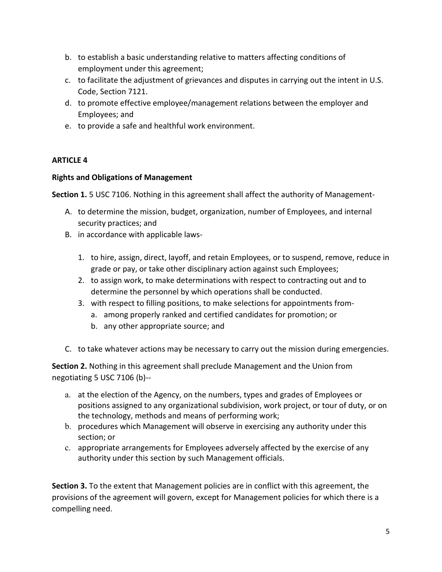- b. to establish a basic understanding relative to matters affecting conditions of employment under this agreement;
- c. to facilitate the adjustment of grievances and disputes in carrying out the intent in U.S. Code, Section 7121.
- d. to promote effective employee/management relations between the employer and Employees; and
- e. to provide a safe and healthful work environment.

### **Rights and Obligations of Management**

**Section 1.** 5 USC 7106. Nothing in this agreement shall affect the authority of Management-

- A. to determine the mission, budget, organization, number of Employees, and internal security practices; and
- B. in accordance with applicable laws-
	- 1. to hire, assign, direct, layoff, and retain Employees, or to suspend, remove, reduce in grade or pay, or take other disciplinary action against such Employees;
	- 2. to assign work, to make determinations with respect to contracting out and to determine the personnel by which operations shall be conducted.
	- 3. with respect to filling positions, to make selections for appointments from
		- a. among properly ranked and certified candidates for promotion; or
		- b. any other appropriate source; and
- C. to take whatever actions may be necessary to carry out the mission during emergencies.

**Section 2.** Nothing in this agreement shall preclude Management and the Union from negotiating 5 USC 7106 (b)--

- a. at the election of the Agency, on the numbers, types and grades of Employees or positions assigned to any organizational subdivision, work project, or tour of duty, or on the technology, methods and means of performing work;
- b. procedures which Management will observe in exercising any authority under this section; or
- c. appropriate arrangements for Employees adversely affected by the exercise of any authority under this section by such Management officials.

**Section 3.** To the extent that Management policies are in conflict with this agreement, the provisions of the agreement will govern, except for Management policies for which there is a compelling need.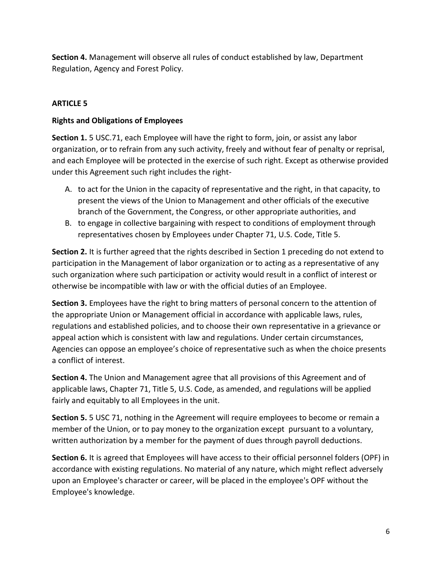**Section 4.** Management will observe all rules of conduct established by law, Department Regulation, Agency and Forest Policy.

# **ARTICLE 5**

### **Rights and Obligations of Employees**

**Section 1.** 5 USC.71, each Employee will have the right to form, join, or assist any labor organization, or to refrain from any such activity, freely and without fear of penalty or reprisal, and each Employee will be protected in the exercise of such right. Except as otherwise provided under this Agreement such right includes the right-

- A. to act for the Union in the capacity of representative and the right, in that capacity, to present the views of the Union to Management and other officials of the executive branch of the Government, the Congress, or other appropriate authorities, and
- B. to engage in collective bargaining with respect to conditions of employment through representatives chosen by Employees under Chapter 71, U.S. Code, Title 5.

**Section 2.** It is further agreed that the rights described in Section 1 preceding do not extend to participation in the Management of labor organization or to acting as a representative of any such organization where such participation or activity would result in a conflict of interest or otherwise be incompatible with law or with the official duties of an Employee.

**Section 3.** Employees have the right to bring matters of personal concern to the attention of the appropriate Union or Management official in accordance with applicable laws, rules, regulations and established policies, and to choose their own representative in a grievance or appeal action which is consistent with law and regulations. Under certain circumstances, Agencies can oppose an employee's choice of representative such as when the choice presents a conflict of interest.

**Section 4.** The Union and Management agree that all provisions of this Agreement and of applicable laws, Chapter 71, Title 5, U.S. Code, as amended, and regulations will be applied fairly and equitably to all Employees in the unit.

**Section 5.** 5 USC 71, nothing in the Agreement will require employees to become or remain a member of the Union, or to pay money to the organization except pursuant to a voluntary, written authorization by a member for the payment of dues through payroll deductions.

**Section 6.** It is agreed that Employees will have access to their official personnel folders (OPF) in accordance with existing regulations. No material of any nature, which might reflect adversely upon an Employee's character or career, will be placed in the employee's OPF without the Employee's knowledge.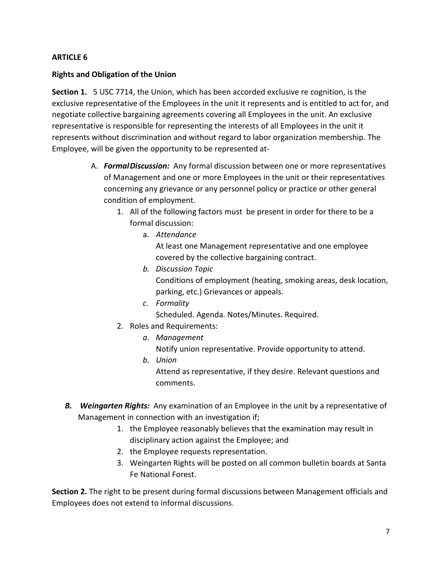#### **Rights and Obligation of the Union**

**Section 1.** 5 USC 7714, the Union, which has been accorded exclusive re cognition, is the exclusive representative of the Employees in the unit it represents and is entitled to act for, and negotiate collective bargaining agreements covering all Employees in the unit. An exclusive representative is responsible for representing the interests of all Employees in the unit it represents without discrimination and without regard to labor organization membership. The Employee, will be given the opportunity to be represented at-

- A. *FormalDiscussion:* Any formal discussion between one or more representatives of Management and one or more Employees in the unit or their representatives concerning any grievance or any personnel policy or practice or other general condition of employment.
	- 1. All of the following factors must be present in order for there to be a formal discussion:
		- a. *Attendance*

At least one Management representative and one employee covered by the collective bargaining contract.

*b. Discussion Topic*

Conditions of employment (heating, smoking areas, desk location, parking, etc.) Grievances or appeals.

- *c. Formality* Scheduled. Agenda. Notes/Minutes. Required.
- 2. Roles and Requirements:
	- *a. Management* Notify union representative. Provide opportunity to attend.
	- *b. Union* Attend as representative, if they desire. Relevant questions and comments.
- *B. Weingarten Rights:* Any examination of an Employee in the unit by a representative of Management in connection with an investigation if;
	- 1. the Employee reasonably believes that the examination may result in disciplinary action against the Employee; and
	- 2. the Employee requests representation.
	- 3. Weingarten Rights will be posted on all common bulletin boards at Santa Fe National Forest.

**Section 2.** The right to be present during formal discussions between Management officials and Employees does not extend to informal discussions.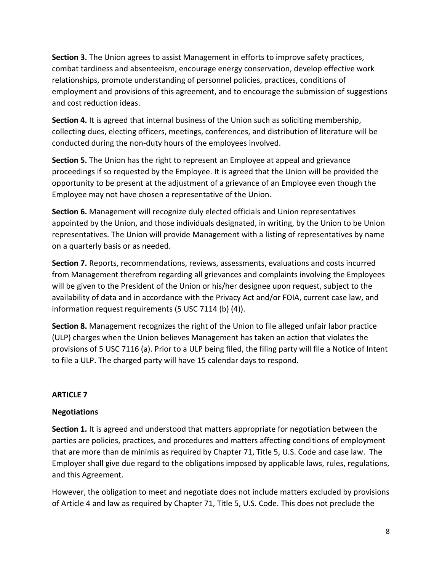**Section 3.** The Union agrees to assist Management in efforts to improve safety practices, combat tardiness and absenteeism, encourage energy conservation, develop effective work relationships, promote understanding of personnel policies, practices, conditions of employment and provisions of this agreement, and to encourage the submission of suggestions and cost reduction ideas.

**Section 4.** It is agreed that internal business of the Union such as soliciting membership, collecting dues, electing officers, meetings, conferences, and distribution of literature will be conducted during the non-duty hours of the employees involved.

**Section 5.** The Union has the right to represent an Employee at appeal and grievance proceedings if so requested by the Employee. It is agreed that the Union will be provided the opportunity to be present at the adjustment of a grievance of an Employee even though the Employee may not have chosen a representative of the Union.

**Section 6.** Management will recognize duly elected officials and Union representatives appointed by the Union, and those individuals designated, in writing, by the Union to be Union representatives. The Union will provide Management with a listing of representatives by name on a quarterly basis or as needed.

**Section 7.** Reports, recommendations, reviews, assessments, evaluations and costs incurred from Management therefrom regarding all grievances and complaints involving the Employees will be given to the President of the Union or his/her designee upon request, subject to the availability of data and in accordance with the Privacy Act and/or FOIA, current case law, and information request requirements (5 USC 7114 (b) (4)).

**Section 8.** Management recognizes the right of the Union to file alleged unfair labor practice (ULP) charges when the Union believes Management has taken an action that violates the provisions of 5 USC 7116 (a). Prior to a ULP being filed, the filing party will file a Notice of Intent to file a ULP. The charged party will have 15 calendar days to respond.

### **ARTICLE 7**

### **Negotiations**

**Section 1.** It is agreed and understood that matters appropriate for negotiation between the parties are policies, practices, and procedures and matters affecting conditions of employment that are more than de minimis as required by Chapter 71, Title 5, U.S. Code and case law. The Employer shall give due regard to the obligations imposed by applicable laws, rules, regulations, and this Agreement.

However, the obligation to meet and negotiate does not include matters excluded by provisions of Article 4 and law as required by Chapter 71, Title 5, U.S. Code. This does not preclude the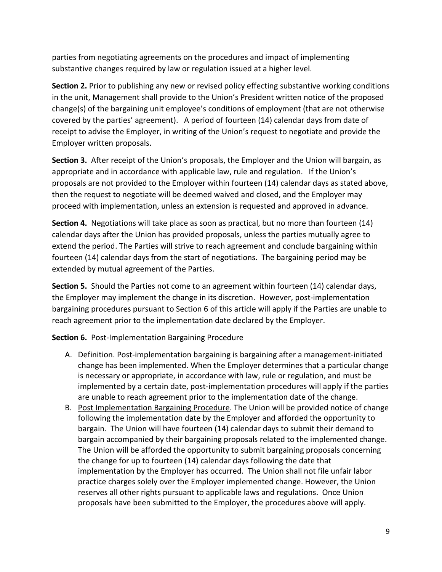parties from negotiating agreements on the procedures and impact of implementing substantive changes required by law or regulation issued at a higher level.

**Section 2.** Prior to publishing any new or revised policy effecting substantive working conditions in the unit, Management shall provide to the Union's President written notice of the proposed change(s) of the bargaining unit employee's conditions of employment (that are not otherwise covered by the parties' agreement). A period of fourteen (14) calendar days from date of receipt to advise the Employer, in writing of the Union's request to negotiate and provide the Employer written proposals.

**Section 3.** After receipt of the Union's proposals, the Employer and the Union will bargain, as appropriate and in accordance with applicable law, rule and regulation. If the Union's proposals are not provided to the Employer within fourteen (14) calendar days as stated above, then the request to negotiate will be deemed waived and closed, and the Employer may proceed with implementation, unless an extension is requested and approved in advance.

**Section 4.** Negotiations will take place as soon as practical, but no more than fourteen (14) calendar days after the Union has provided proposals, unless the parties mutually agree to extend the period. The Parties will strive to reach agreement and conclude bargaining within fourteen (14) calendar days from the start of negotiations. The bargaining period may be extended by mutual agreement of the Parties.

**Section 5.** Should the Parties not come to an agreement within fourteen (14) calendar days, the Employer may implement the change in its discretion. However, post-implementation bargaining procedures pursuant to Section 6 of this article will apply if the Parties are unable to reach agreement prior to the implementation date declared by the Employer.

**Section 6.** Post-Implementation Bargaining Procedure

- A. Definition. Post-implementation bargaining is bargaining after a management-initiated change has been implemented. When the Employer determines that a particular change is necessary or appropriate, in accordance with law, rule or regulation, and must be implemented by a certain date, post-implementation procedures will apply if the parties are unable to reach agreement prior to the implementation date of the change.
- B. Post Implementation Bargaining Procedure. The Union will be provided notice of change following the implementation date by the Employer and afforded the opportunity to bargain. The Union will have fourteen (14) calendar days to submit their demand to bargain accompanied by their bargaining proposals related to the implemented change. The Union will be afforded the opportunity to submit bargaining proposals concerning the change for up to fourteen (14) calendar days following the date that implementation by the Employer has occurred. The Union shall not file unfair labor practice charges solely over the Employer implemented change. However, the Union reserves all other rights pursuant to applicable laws and regulations. Once Union proposals have been submitted to the Employer, the procedures above will apply.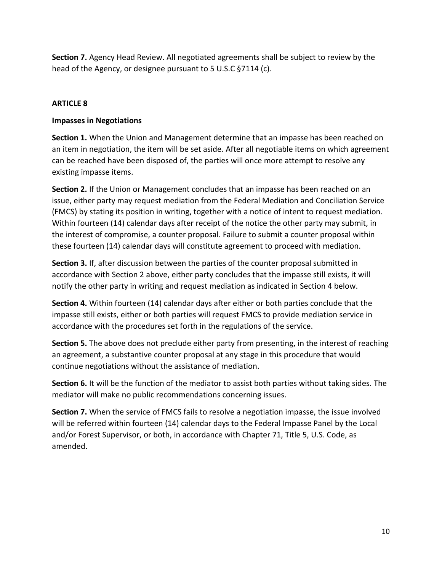**Section 7.** Agency Head Review. All negotiated agreements shall be subject to review by the head of the Agency, or designee pursuant to 5 U.S.C §7114 (c).

# **ARTICLE 8**

## **Impasses in Negotiations**

**Section 1.** When the Union and Management determine that an impasse has been reached on an item in negotiation, the item will be set aside. After all negotiable items on which agreement can be reached have been disposed of, the parties will once more attempt to resolve any existing impasse items.

**Section 2.** If the Union or Management concludes that an impasse has been reached on an issue, either party may request mediation from the Federal Mediation and Conciliation Service (FMCS) by stating its position in writing, together with a notice of intent to request mediation. Within fourteen (14) calendar days after receipt of the notice the other party may submit, in the interest of compromise, a counter proposal. Failure to submit a counter proposal within these fourteen (14) calendar days will constitute agreement to proceed with mediation.

**Section 3.** If, after discussion between the parties of the counter proposal submitted in accordance with Section 2 above, either party concludes that the impasse still exists, it will notify the other party in writing and request mediation as indicated in Section 4 below.

**Section 4.** Within fourteen (14) calendar days after either or both parties conclude that the impasse still exists, either or both parties will request FMCS to provide mediation service in accordance with the procedures set forth in the regulations of the service.

**Section 5.** The above does not preclude either party from presenting, in the interest of reaching an agreement, a substantive counter proposal at any stage in this procedure that would continue negotiations without the assistance of mediation.

**Section 6.** It will be the function of the mediator to assist both parties without taking sides. The mediator will make no public recommendations concerning issues.

**Section 7.** When the service of FMCS fails to resolve a negotiation impasse, the issue involved will be referred within fourteen (14) calendar days to the Federal Impasse Panel by the Local and/or Forest Supervisor, or both, in accordance with Chapter 71, Title 5, U.S. Code, as amended.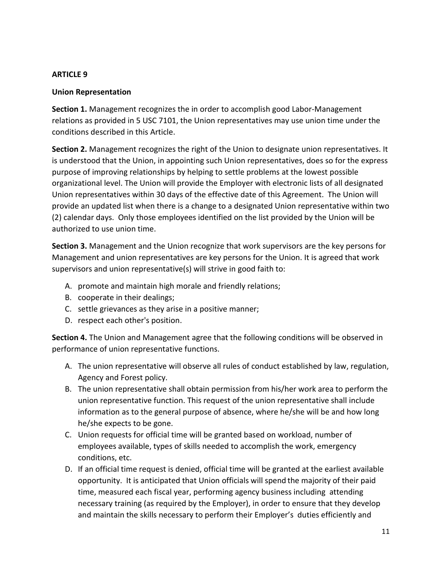#### **Union Representation**

**Section 1.** Management recognizes the in order to accomplish good Labor-Management relations as provided in 5 USC 7101, the Union representatives may use union time under the conditions described in this Article.

**Section 2.** Management recognizes the right of the Union to designate union representatives. It is understood that the Union, in appointing such Union representatives, does so for the express purpose of improving relationships by helping to settle problems at the lowest possible organizational level. The Union will provide the Employer with electronic lists of all designated Union representatives within 30 days of the effective date of this Agreement. The Union will provide an updated list when there is a change to a designated Union representative within two (2) calendar days. Only those employees identified on the list provided by the Union will be authorized to use union time.

**Section 3.** Management and the Union recognize that work supervisors are the key persons for Management and union representatives are key persons for the Union. It is agreed that work supervisors and union representative(s) will strive in good faith to:

- A. promote and maintain high morale and friendly relations;
- B. cooperate in their dealings;
- C. settle grievances as they arise in a positive manner;
- D. respect each other's position.

**Section 4.** The Union and Management agree that the following conditions will be observed in performance of union representative functions.

- A. The union representative will observe all rules of conduct established by law, regulation, Agency and Forest policy.
- B. The union representative shall obtain permission from his/her work area to perform the union representative function. This request of the union representative shall include information as to the general purpose of absence, where he/she will be and how long he/she expects to be gone.
- C. Union requests for official time will be granted based on workload, number of employees available, types of skills needed to accomplish the work, emergency conditions, etc.
- D. If an official time request is denied, official time will be granted at the earliest available opportunity. It is anticipated that Union officials will spend the majority of their paid time, measured each fiscal year, performing agency business including attending necessary training (as required by the Employer), in order to ensure that they develop and maintain the skills necessary to perform their Employer's duties efficiently and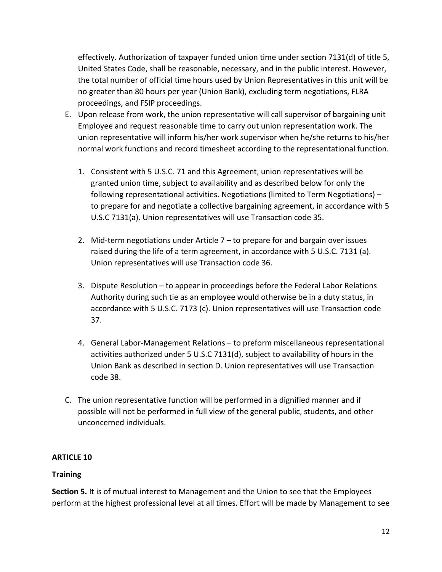effectively. Authorization of taxpayer funded union time under section 7131(d) of title 5, United States Code, shall be reasonable, necessary, and in the public interest. However, the total number of official time hours used by Union Representatives in this unit will be no greater than 80 hours per year (Union Bank), excluding term negotiations, FLRA proceedings, and FSIP proceedings.

- E. Upon release from work, the union representative will call supervisor of bargaining unit Employee and request reasonable time to carry out union representation work. The union representative will inform his/her work supervisor when he/she returns to his/her normal work functions and record timesheet according to the representational function.
	- 1. Consistent with 5 U.S.C. 71 and this Agreement, union representatives will be granted union time, subject to availability and as described below for only the following representational activities. Negotiations (limited to Term Negotiations) – to prepare for and negotiate a collective bargaining agreement, in accordance with 5 U.S.C 7131(a). Union representatives will use Transaction code 35.
	- 2. Mid-term negotiations under Article 7 to prepare for and bargain over issues raised during the life of a term agreement, in accordance with 5 U.S.C. 7131 (a). Union representatives will use Transaction code 36.
	- 3. Dispute Resolution to appear in proceedings before the Federal Labor Relations Authority during such tie as an employee would otherwise be in a duty status, in accordance with 5 U.S.C. 7173 (c). Union representatives will use Transaction code 37.
	- 4. General Labor-Management Relations to preform miscellaneous representational activities authorized under 5 U.S.C 7131(d), subject to availability of hours in the Union Bank as described in section D. Union representatives will use Transaction code 38.
- C. The union representative function will be performed in a dignified manner and if possible will not be performed in full view of the general public, students, and other unconcerned individuals.

# **ARTICLE 10**

# **Training**

**Section 5.** It is of mutual interest to Management and the Union to see that the Employees perform at the highest professional level at all times. Effort will be made by Management to see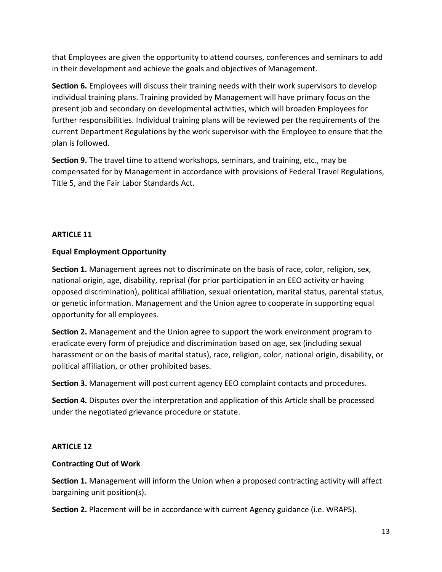that Employees are given the opportunity to attend courses, conferences and seminars to add in their development and achieve the goals and objectives of Management.

**Section 6.** Employees will discuss their training needs with their work supervisors to develop individual training plans. Training provided by Management will have primary focus on the present job and secondary on developmental activities, which will broaden Employees for further responsibilities. Individual training plans will be reviewed per the requirements of the current Department Regulations by the work supervisor with the Employee to ensure that the plan is followed.

**Section 9.** The travel time to attend workshops, seminars, and training, etc., may be compensated for by Management in accordance with provisions of Federal Travel Regulations, Title 5, and the Fair Labor Standards Act.

### **ARTICLE 11**

## **Equal Employment Opportunity**

**Section 1.** Management agrees not to discriminate on the basis of race, color, religion, sex, national origin, age, disability, reprisal (for prior participation in an EEO activity or having opposed discrimination), political affiliation, sexual orientation, marital status, parental status, or genetic information. Management and the Union agree to cooperate in supporting equal opportunity for all employees.

**Section 2.** Management and the Union agree to support the work environment program to eradicate every form of prejudice and discrimination based on age, sex (including sexual harassment or on the basis of marital status), race, religion, color, national origin, disability, or political affiliation, or other prohibited bases.

**Section 3.** Management will post current agency EEO complaint contacts and procedures.

**Section 4.** Disputes over the interpretation and application of this Article shall be processed under the negotiated grievance procedure or statute.

### **ARTICLE 12**

### **Contracting Out of Work**

**Section 1.** Management will inform the Union when a proposed contracting activity will affect bargaining unit position(s).

**Section 2.** Placement will be in accordance with current Agency guidance (i.e. WRAPS).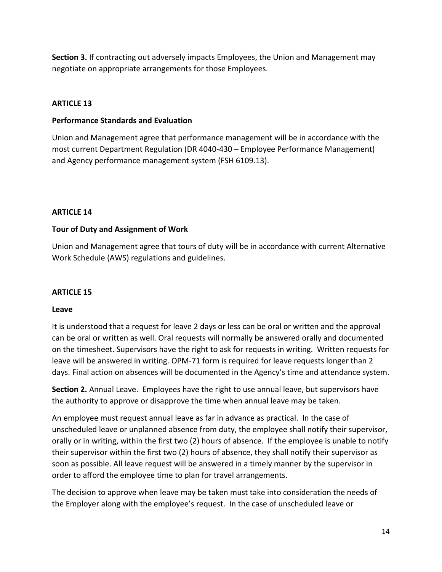**Section 3.** If contracting out adversely impacts Employees, the Union and Management may negotiate on appropriate arrangements for those Employees.

# **ARTICLE 13**

#### **Performance Standards and Evaluation**

Union and Management agree that performance management will be in accordance with the most current Department Regulation (DR 4040-430 – Employee Performance Management) and Agency performance management system (FSH 6109.13).

### **ARTICLE 14**

### **Tour of Duty and Assignment of Work**

Union and Management agree that tours of duty will be in accordance with current Alternative Work Schedule (AWS) regulations and guidelines.

### **ARTICLE 15**

### **Leave**

It is understood that a request for leave 2 days or less can be oral or written and the approval can be oral or written as well. Oral requests will normally be answered orally and documented on the timesheet. Supervisors have the right to ask for requests in writing. Written requests for leave will be answered in writing. OPM-71 form is required for leave requests longer than 2 days. Final action on absences will be documented in the Agency's time and attendance system.

**Section 2.** Annual Leave. Employees have the right to use annual leave, but supervisors have the authority to approve or disapprove the time when annual leave may be taken.

An employee must request annual leave as far in advance as practical. In the case of unscheduled leave or unplanned absence from duty, the employee shall notify their supervisor, orally or in writing, within the first two (2) hours of absence. If the employee is unable to notify their supervisor within the first two (2) hours of absence, they shall notify their supervisor as soon as possible. All leave request will be answered in a timely manner by the supervisor in order to afford the employee time to plan for travel arrangements.

The decision to approve when leave may be taken must take into consideration the needs of the Employer along with the employee's request. In the case of unscheduled leave or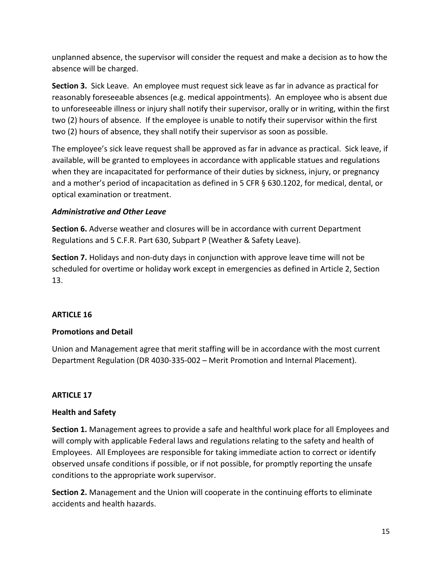unplanned absence, the supervisor will consider the request and make a decision as to how the absence will be charged.

**Section 3.** Sick Leave. An employee must request sick leave as far in advance as practical for reasonably foreseeable absences (e.g. medical appointments). An employee who is absent due to unforeseeable illness or injury shall notify their supervisor, orally or in writing, within the first two (2) hours of absence. If the employee is unable to notify their supervisor within the first two (2) hours of absence, they shall notify their supervisor as soon as possible.

The employee's sick leave request shall be approved as far in advance as practical. Sick leave, if available, will be granted to employees in accordance with applicable statues and regulations when they are incapacitated for performance of their duties by sickness, injury, or pregnancy and a mother's period of incapacitation as defined in 5 CFR § 630.1202, for medical, dental, or optical examination or treatment.

## *Administrative and Other Leave*

**Section 6.** Adverse weather and closures will be in accordance with current Department Regulations and 5 C.F.R. Part 630, Subpart P (Weather & Safety Leave).

**Section 7.** Holidays and non-duty days in conjunction with approve leave time will not be scheduled for overtime or holiday work except in emergencies as defined in Article 2, Section 13.

### **ARTICLE 16**

### **Promotions and Detail**

Union and Management agree that merit staffing will be in accordance with the most current Department Regulation (DR 4030-335-002 – Merit Promotion and Internal Placement).

### **ARTICLE 17**

### **Health and Safety**

**Section 1.** Management agrees to provide a safe and healthful work place for all Employees and will comply with applicable Federal laws and regulations relating to the safety and health of Employees. All Employees are responsible for taking immediate action to correct or identify observed unsafe conditions if possible, or if not possible, for promptly reporting the unsafe conditions to the appropriate work supervisor.

**Section 2.** Management and the Union will cooperate in the continuing efforts to eliminate accidents and health hazards.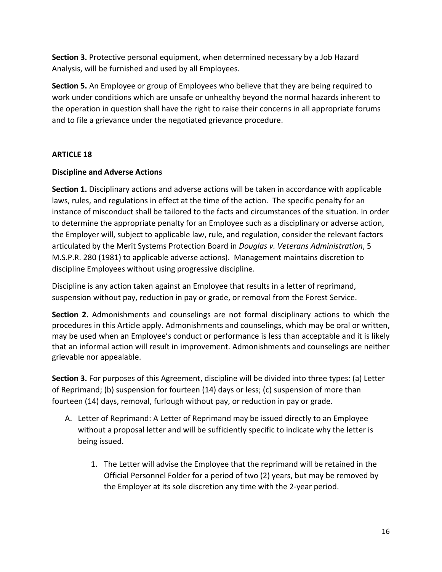**Section 3.** Protective personal equipment, when determined necessary by a Job Hazard Analysis, will be furnished and used by all Employees.

**Section 5.** An Employee or group of Employees who believe that they are being required to work under conditions which are unsafe or unhealthy beyond the normal hazards inherent to the operation in question shall have the right to raise their concerns in all appropriate forums and to file a grievance under the negotiated grievance procedure.

### **ARTICLE 18**

#### **Discipline and Adverse Actions**

**Section 1.** Disciplinary actions and adverse actions will be taken in accordance with applicable laws, rules, and regulations in effect at the time of the action. The specific penalty for an instance of misconduct shall be tailored to the facts and circumstances of the situation. In order to determine the appropriate penalty for an Employee such as a disciplinary or adverse action, the Employer will, subject to applicable law, rule, and regulation, consider the relevant factors articulated by the Merit Systems Protection Board in *Douglas v. Veterans Administration*, 5 M.S.P.R. 280 (1981) to applicable adverse actions). Management maintains discretion to discipline Employees without using progressive discipline.

Discipline is any action taken against an Employee that results in a letter of reprimand, suspension without pay, reduction in pay or grade, or removal from the Forest Service.

**Section 2.** Admonishments and counselings are not formal disciplinary actions to which the procedures in this Article apply. Admonishments and counselings, which may be oral or written, may be used when an Employee's conduct or performance is less than acceptable and it is likely that an informal action will result in improvement. Admonishments and counselings are neither grievable nor appealable.

**Section 3.** For purposes of this Agreement, discipline will be divided into three types: (a) Letter of Reprimand; (b) suspension for fourteen (14) days or less; (c) suspension of more than fourteen (14) days, removal, furlough without pay, or reduction in pay or grade.

- A. Letter of Reprimand: A Letter of Reprimand may be issued directly to an Employee without a proposal letter and will be sufficiently specific to indicate why the letter is being issued.
	- 1. The Letter will advise the Employee that the reprimand will be retained in the Official Personnel Folder for a period of two (2) years, but may be removed by the Employer at its sole discretion any time with the 2-year period.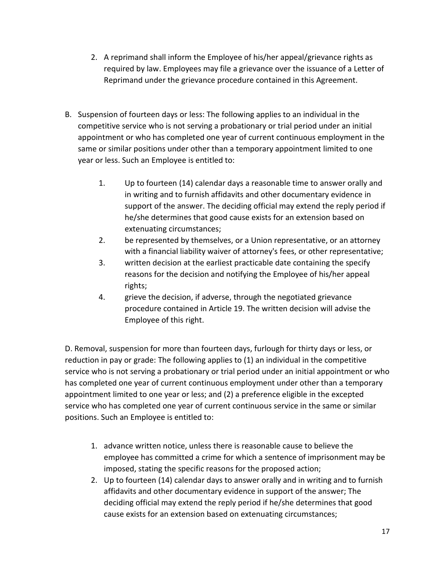- 2. A reprimand shall inform the Employee of his/her appeal/grievance rights as required by law. Employees may file a grievance over the issuance of a Letter of Reprimand under the grievance procedure contained in this Agreement.
- B. Suspension of fourteen days or less: The following applies to an individual in the competitive service who is not serving a probationary or trial period under an initial appointment or who has completed one year of current continuous employment in the same or similar positions under other than a temporary appointment limited to one year or less. Such an Employee is entitled to:
	- 1. Up to fourteen (14) calendar days a reasonable time to answer orally and in writing and to furnish affidavits and other documentary evidence in support of the answer. The deciding official may extend the reply period if he/she determines that good cause exists for an extension based on extenuating circumstances;
	- 2. be represented by themselves, or a Union representative, or an attorney with a financial liability waiver of attorney's fees, or other representative;
	- 3. written decision at the earliest practicable date containing the specify reasons for the decision and notifying the Employee of his/her appeal rights;
	- 4. grieve the decision, if adverse, through the negotiated grievance procedure contained in Article 19. The written decision will advise the Employee of this right.

D. Removal, suspension for more than fourteen days, furlough for thirty days or less, or reduction in pay or grade: The following applies to (1) an individual in the competitive service who is not serving a probationary or trial period under an initial appointment or who has completed one year of current continuous employment under other than a temporary appointment limited to one year or less; and (2) a preference eligible in the excepted service who has completed one year of current continuous service in the same or similar positions. Such an Employee is entitled to:

- 1. advance written notice, unless there is reasonable cause to believe the employee has committed a crime for which a sentence of imprisonment may be imposed, stating the specific reasons for the proposed action;
- 2. Up to fourteen (14) calendar days to answer orally and in writing and to furnish affidavits and other documentary evidence in support of the answer; The deciding official may extend the reply period if he/she determines that good cause exists for an extension based on extenuating circumstances;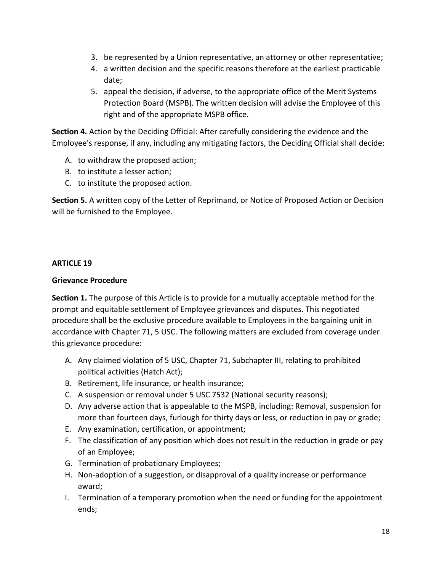- 3. be represented by a Union representative, an attorney or other representative;
- 4. a written decision and the specific reasons therefore at the earliest practicable date;
- 5. appeal the decision, if adverse, to the appropriate office of the Merit Systems Protection Board (MSPB). The written decision will advise the Employee of this right and of the appropriate MSPB office.

**Section 4.** Action by the Deciding Official: After carefully considering the evidence and the Employee's response, if any, including any mitigating factors, the Deciding Official shall decide:

- A. to withdraw the proposed action;
- B. to institute a lesser action;
- C. to institute the proposed action.

**Section 5.** A written copy of the Letter of Reprimand, or Notice of Proposed Action or Decision will be furnished to the Employee.

### **ARTICLE 19**

### **Grievance Procedure**

**Section 1.** The purpose of this Article is to provide for a mutually acceptable method for the prompt and equitable settlement of Employee grievances and disputes. This negotiated procedure shall be the exclusive procedure available to Employees in the bargaining unit in accordance with Chapter 71, 5 USC. The following matters are excluded from coverage under this grievance procedure:

- A. Any claimed violation of 5 USC, Chapter 71, Subchapter III, relating to prohibited political activities (Hatch Act);
- B. Retirement, life insurance, or health insurance;
- C. A suspension or removal under 5 USC 7532 (National security reasons);
- D. Any adverse action that is appealable to the MSPB, including: Removal, suspension for more than fourteen days, furlough for thirty days or less, or reduction in pay or grade;
- E. Any examination, certification, or appointment;
- F. The classification of any position which does not result in the reduction in grade or pay of an Employee;
- G. Termination of probationary Employees;
- H. Non-adoption of a suggestion, or disapproval of a quality increase or performance award;
- I. Termination of a temporary promotion when the need or funding for the appointment ends;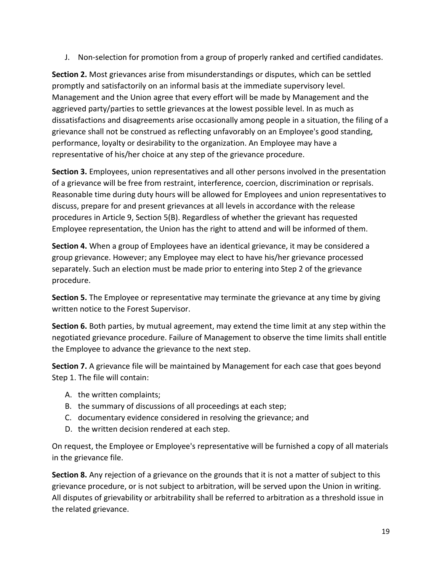J. Non-selection for promotion from a group of properly ranked and certified candidates.

**Section 2.** Most grievances arise from misunderstandings or disputes, which can be settled promptly and satisfactorily on an informal basis at the immediate supervisory level. Management and the Union agree that every effort will be made by Management and the aggrieved party/parties to settle grievances at the lowest possible level. In as much as dissatisfactions and disagreements arise occasionally among people in a situation, the filing of a grievance shall not be construed as reflecting unfavorably on an Employee's good standing, performance, loyalty or desirability to the organization. An Employee may have a representative of his/her choice at any step of the grievance procedure.

**Section 3.** Employees, union representatives and all other persons involved in the presentation of a grievance will be free from restraint, interference, coercion, discrimination or reprisals. Reasonable time during duty hours will be allowed for Employees and union representatives to discuss, prepare for and present grievances at all levels in accordance with the release procedures in Article 9, Section 5(B). Regardless of whether the grievant has requested Employee representation, the Union has the right to attend and will be informed of them.

**Section 4.** When a group of Employees have an identical grievance, it may be considered a group grievance. However; any Employee may elect to have his/her grievance processed separately. Such an election must be made prior to entering into Step 2 of the grievance procedure.

**Section 5.** The Employee or representative may terminate the grievance at any time by giving written notice to the Forest Supervisor.

**Section 6.** Both parties, by mutual agreement, may extend the time limit at any step within the negotiated grievance procedure. Failure of Management to observe the time limits shall entitle the Employee to advance the grievance to the next step.

**Section 7.** A grievance file will be maintained by Management for each case that goes beyond Step 1. The file will contain:

- A. the written complaints;
- B. the summary of discussions of all proceedings at each step;
- C. documentary evidence considered in resolving the grievance; and
- D. the written decision rendered at each step.

On request, the Employee or Employee's representative will be furnished a copy of all materials in the grievance file.

**Section 8.** Any rejection of a grievance on the grounds that it is not a matter of subject to this grievance procedure, or is not subject to arbitration, will be served upon the Union in writing. All disputes of grievability or arbitrability shall be referred to arbitration as a threshold issue in the related grievance.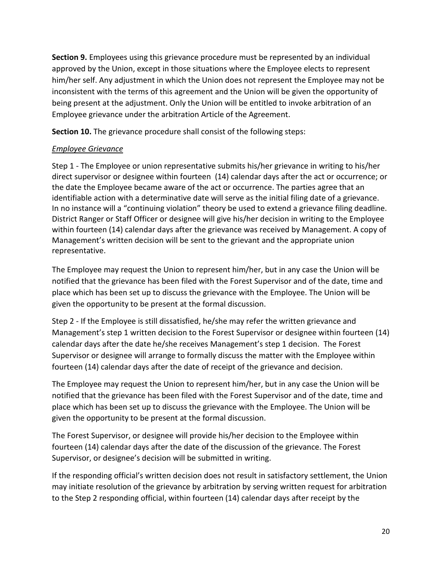**Section 9.** Employees using this grievance procedure must be represented by an individual approved by the Union, except in those situations where the Employee elects to represent him/her self. Any adjustment in which the Union does not represent the Employee may not be inconsistent with the terms of this agreement and the Union will be given the opportunity of being present at the adjustment. Only the Union will be entitled to invoke arbitration of an Employee grievance under the arbitration Article of the Agreement.

**Section 10.** The grievance procedure shall consist of the following steps:

# *Employee Grievance*

Step 1 - The Employee or union representative submits his/her grievance in writing to his/her direct supervisor or designee within fourteen (14) calendar days after the act or occurrence; or the date the Employee became aware of the act or occurrence. The parties agree that an identifiable action with a determinative date will serve as the initial filing date of a grievance. In no instance will a "continuing violation" theory be used to extend a grievance filing deadline. District Ranger or Staff Officer or designee will give his/her decision in writing to the Employee within fourteen (14) calendar days after the grievance was received by Management. A copy of Management's written decision will be sent to the grievant and the appropriate union representative.

The Employee may request the Union to represent him/her, but in any case the Union will be notified that the grievance has been filed with the Forest Supervisor and of the date, time and place which has been set up to discuss the grievance with the Employee. The Union will be given the opportunity to be present at the formal discussion.

Step 2 - If the Employee is still dissatisfied, he/she may refer the written grievance and Management's step 1 written decision to the Forest Supervisor or designee within fourteen (14) calendar days after the date he/she receives Management's step 1 decision. The Forest Supervisor or designee will arrange to formally discuss the matter with the Employee within fourteen (14) calendar days after the date of receipt of the grievance and decision.

The Employee may request the Union to represent him/her, but in any case the Union will be notified that the grievance has been filed with the Forest Supervisor and of the date, time and place which has been set up to discuss the grievance with the Employee. The Union will be given the opportunity to be present at the formal discussion.

The Forest Supervisor, or designee will provide his/her decision to the Employee within fourteen (14) calendar days after the date of the discussion of the grievance. The Forest Supervisor, or designee's decision will be submitted in writing.

If the responding official's written decision does not result in satisfactory settlement, the Union may initiate resolution of the grievance by arbitration by serving written request for arbitration to the Step 2 responding official, within fourteen (14) calendar days after receipt by the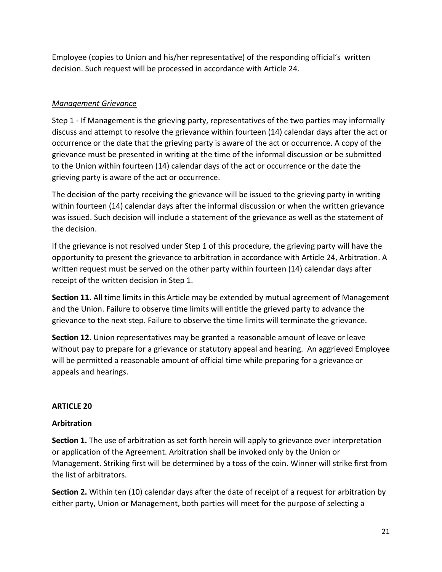Employee (copies to Union and his/her representative) of the responding official's written decision. Such request will be processed in accordance with Article 24.

# *Management Grievance*

Step 1 - If Management is the grieving party, representatives of the two parties may informally discuss and attempt to resolve the grievance within fourteen (14) calendar days after the act or occurrence or the date that the grieving party is aware of the act or occurrence. A copy of the grievance must be presented in writing at the time of the informal discussion or be submitted to the Union within fourteen (14) calendar days of the act or occurrence or the date the grieving party is aware of the act or occurrence.

The decision of the party receiving the grievance will be issued to the grieving party in writing within fourteen (14) calendar days after the informal discussion or when the written grievance was issued. Such decision will include a statement of the grievance as well as the statement of the decision.

If the grievance is not resolved under Step 1 of this procedure, the grieving party will have the opportunity to present the grievance to arbitration in accordance with Article 24, Arbitration. A written request must be served on the other party within fourteen (14) calendar days after receipt of the written decision in Step 1.

**Section 11.** All time limits in this Article may be extended by mutual agreement of Management and the Union. Failure to observe time limits will entitle the grieved party to advance the grievance to the next step. Failure to observe the time limits will terminate the grievance.

**Section 12.** Union representatives may be granted a reasonable amount of leave or leave without pay to prepare for a grievance or statutory appeal and hearing. An aggrieved Employee will be permitted a reasonable amount of official time while preparing for a grievance or appeals and hearings.

# **ARTICLE 20**

# **Arbitration**

**Section 1.** The use of arbitration as set forth herein will apply to grievance over interpretation or application of the Agreement. Arbitration shall be invoked only by the Union or Management. Striking first will be determined by a toss of the coin. Winner will strike first from the list of arbitrators.

**Section 2.** Within ten (10) calendar days after the date of receipt of a request for arbitration by either party, Union or Management, both parties will meet for the purpose of selecting a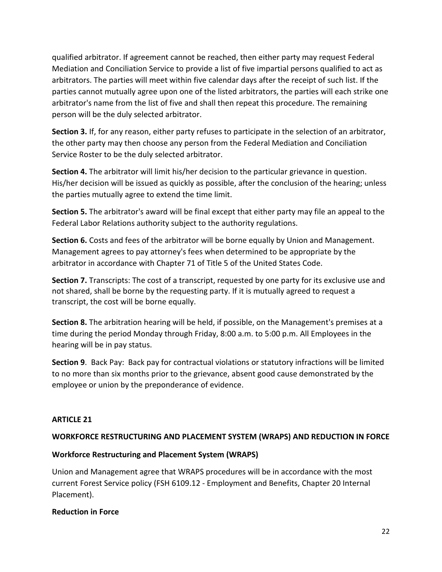qualified arbitrator. If agreement cannot be reached, then either party may request Federal Mediation and Conciliation Service to provide a list of five impartial persons qualified to act as arbitrators. The parties will meet within five calendar days after the receipt of such list. If the parties cannot mutually agree upon one of the listed arbitrators, the parties will each strike one arbitrator's name from the list of five and shall then repeat this procedure. The remaining person will be the duly selected arbitrator.

**Section 3.** If, for any reason, either party refuses to participate in the selection of an arbitrator, the other party may then choose any person from the Federal Mediation and Conciliation Service Roster to be the duly selected arbitrator.

**Section 4.** The arbitrator will limit his/her decision to the particular grievance in question. His/her decision will be issued as quickly as possible, after the conclusion of the hearing; unless the parties mutually agree to extend the time limit.

**Section 5.** The arbitrator's award will be final except that either party may file an appeal to the Federal Labor Relations authority subject to the authority regulations.

**Section 6.** Costs and fees of the arbitrator will be borne equally by Union and Management. Management agrees to pay attorney's fees when determined to be appropriate by the arbitrator in accordance with Chapter 71 of Title 5 of the United States Code.

**Section 7.** Transcripts: The cost of a transcript, requested by one party for its exclusive use and not shared, shall be borne by the requesting party. If it is mutually agreed to request a transcript, the cost will be borne equally.

**Section 8.** The arbitration hearing will be held, if possible, on the Management's premises at a time during the period Monday through Friday, 8:00 a.m. to 5:00 p.m. All Employees in the hearing will be in pay status.

**Section 9**. Back Pay: Back pay for contractual violations or statutory infractions will be limited to no more than six months prior to the grievance, absent good cause demonstrated by the employee or union by the preponderance of evidence.

### **ARTICLE 21**

### **WORKFORCE RESTRUCTURING AND PLACEMENT SYSTEM (WRAPS) AND REDUCTION IN FORCE**

### **Workforce Restructuring and Placement System (WRAPS)**

Union and Management agree that WRAPS procedures will be in accordance with the most current Forest Service policy (FSH 6109.12 - Employment and Benefits, Chapter 20 Internal Placement).

#### **Reduction in Force**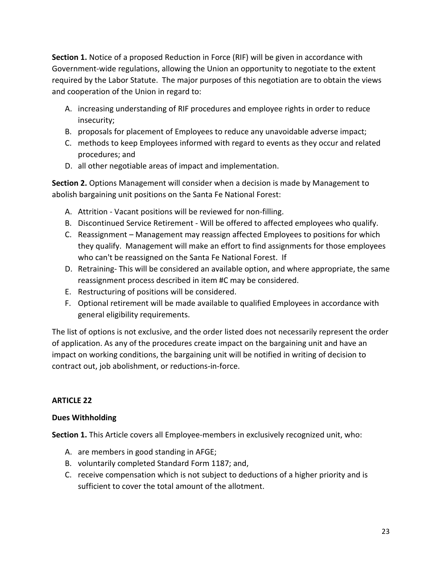**Section 1.** Notice of a proposed Reduction in Force (RIF) will be given in accordance with Government-wide regulations, allowing the Union an opportunity to negotiate to the extent required by the Labor Statute. The major purposes of this negotiation are to obtain the views and cooperation of the Union in regard to:

- A. increasing understanding of RIF procedures and employee rights in order to reduce insecurity;
- B. proposals for placement of Employees to reduce any unavoidable adverse impact;
- C. methods to keep Employees informed with regard to events as they occur and related procedures; and
- D. all other negotiable areas of impact and implementation.

**Section 2.** Options Management will consider when a decision is made by Management to abolish bargaining unit positions on the Santa Fe National Forest:

- A. Attrition Vacant positions will be reviewed for non-filling.
- B. Discontinued Service Retirement Will be offered to affected employees who qualify.
- C. Reassignment Management may reassign affected Employees to positions for which they qualify. Management will make an effort to find assignments for those employees who can't be reassigned on the Santa Fe National Forest. If
- D. Retraining- This will be considered an available option, and where appropriate, the same reassignment process described in item #C may be considered.
- E. Restructuring of positions will be considered.
- F. Optional retirement will be made available to qualified Employees in accordance with general eligibility requirements.

The list of options is not exclusive, and the order listed does not necessarily represent the order of application. As any of the procedures create impact on the bargaining unit and have an impact on working conditions, the bargaining unit will be notified in writing of decision to contract out, job abolishment, or reductions-in-force.

# **ARTICLE 22**

### **Dues Withholding**

**Section 1.** This Article covers all Employee-members in exclusively recognized unit, who:

- A. are members in good standing in AFGE;
- B. voluntarily completed Standard Form 1187; and,
- C. receive compensation which is not subject to deductions of a higher priority and is sufficient to cover the total amount of the allotment.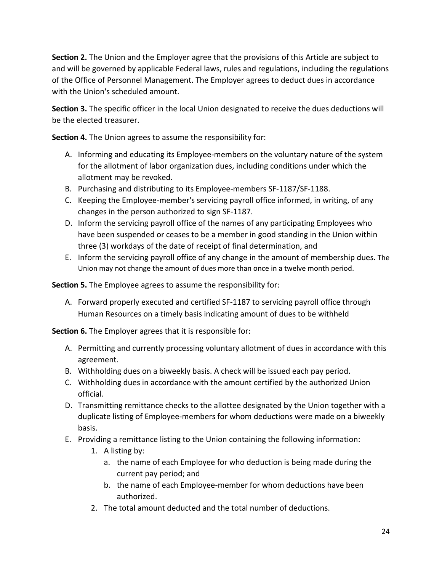**Section 2.** The Union and the Employer agree that the provisions of this Article are subject to and will be governed by applicable Federal laws, rules and regulations, including the regulations of the Office of Personnel Management. The Employer agrees to deduct dues in accordance with the Union's scheduled amount.

**Section 3.** The specific officer in the local Union designated to receive the dues deductions will be the elected treasurer.

**Section 4.** The Union agrees to assume the responsibility for:

- A. Informing and educating its Employee-members on the voluntary nature of the system for the allotment of labor organization dues, including conditions under which the allotment may be revoked.
- B. Purchasing and distributing to its Employee-members SF-1187/SF-1188.
- C. Keeping the Employee-member's servicing payroll office informed, in writing, of any changes in the person authorized to sign SF-1187.
- D. Inform the servicing payroll office of the names of any participating Employees who have been suspended or ceases to be a member in good standing in the Union within three (3) workdays of the date of receipt of final determination, and
- E. Inform the servicing payroll office of any change in the amount of membership dues. The Union may not change the amount of dues more than once in a twelve month period.

**Section 5.** The Employee agrees to assume the responsibility for:

A. Forward properly executed and certified SF-1187 to servicing payroll office through Human Resources on a timely basis indicating amount of dues to be withheld

**Section 6.** The Employer agrees that it is responsible for:

- A. Permitting and currently processing voluntary allotment of dues in accordance with this agreement.
- B. Withholding dues on a biweekly basis. A check will be issued each pay period.
- C. Withholding dues in accordance with the amount certified by the authorized Union official.
- D. Transmitting remittance checks to the allottee designated by the Union together with a duplicate listing of Employee-members for whom deductions were made on a biweekly basis.
- E. Providing a remittance listing to the Union containing the following information:
	- 1. A listing by:
		- a. the name of each Employee for who deduction is being made during the current pay period; and
		- b. the name of each Employee-member for whom deductions have been authorized.
	- 2. The total amount deducted and the total number of deductions.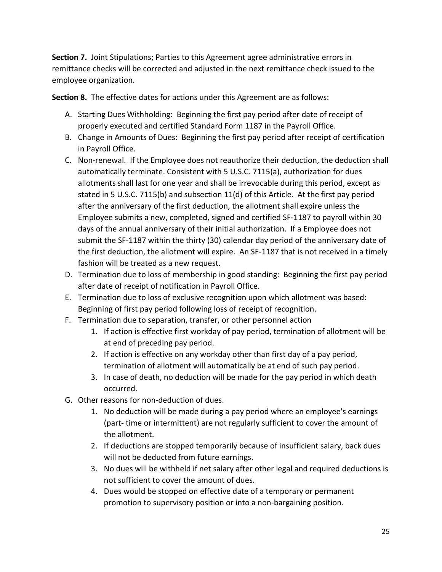**Section 7.** Joint Stipulations; Parties to this Agreement agree administrative errors in remittance checks will be corrected and adjusted in the next remittance check issued to the employee organization.

**Section 8.** The effective dates for actions under this Agreement are as follows:

- A. Starting Dues Withholding: Beginning the first pay period after date of receipt of properly executed and certified Standard Form 1187 in the Payroll Office.
- B. Change in Amounts of Dues: Beginning the first pay period after receipt of certification in Payroll Office.
- C. Non-renewal. If the Employee does not reauthorize their deduction, the deduction shall automatically terminate. Consistent with 5 U.S.C. 7115(a), authorization for dues allotments shall last for one year and shall be irrevocable during this period, except as stated in 5 U.S.C. 7115(b) and subsection 11(d) of this Article. At the first pay period after the anniversary of the first deduction, the allotment shall expire unless the Employee submits a new, completed, signed and certified SF-1187 to payroll within 30 days of the annual anniversary of their initial authorization. If a Employee does not submit the SF-1187 within the thirty (30) calendar day period of the anniversary date of the first deduction, the allotment will expire. An SF-1187 that is not received in a timely fashion will be treated as a new request.
- D. Termination due to loss of membership in good standing: Beginning the first pay period after date of receipt of notification in Payroll Office.
- E. Termination due to loss of exclusive recognition upon which allotment was based: Beginning of first pay period following loss of receipt of recognition.
- F. Termination due to separation, transfer, or other personnel action
	- 1. If action is effective first workday of pay period, termination of allotment will be at end of preceding pay period.
	- 2. If action is effective on any workday other than first day of a pay period, termination of allotment will automatically be at end of such pay period.
	- 3. In case of death, no deduction will be made for the pay period in which death occurred.
- G. Other reasons for non-deduction of dues.
	- 1. No deduction will be made during a pay period where an employee's earnings (part- time or intermittent) are not regularly sufficient to cover the amount of the allotment.
	- 2. If deductions are stopped temporarily because of insufficient salary, back dues will not be deducted from future earnings.
	- 3. No dues will be withheld if net salary after other legal and required deductions is not sufficient to cover the amount of dues.
	- 4. Dues would be stopped on effective date of a temporary or permanent promotion to supervisory position or into a non-bargaining position.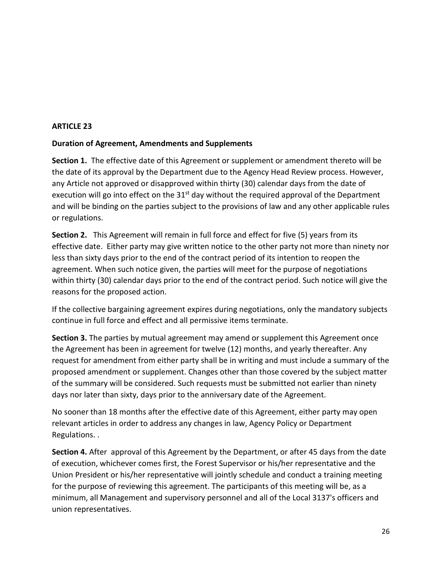#### **Duration of Agreement, Amendments and Supplements**

**Section 1.** The effective date of this Agreement or supplement or amendment thereto will be the date of its approval by the Department due to the Agency Head Review process. However, any Article not approved or disapproved within thirty (30) calendar days from the date of execution will go into effect on the  $31<sup>st</sup>$  day without the required approval of the Department and will be binding on the parties subject to the provisions of law and any other applicable rules or regulations.

**Section 2.** This Agreement will remain in full force and effect for five (5) years from its effective date. Either party may give written notice to the other party not more than ninety nor less than sixty days prior to the end of the contract period of its intention to reopen the agreement. When such notice given, the parties will meet for the purpose of negotiations within thirty (30) calendar days prior to the end of the contract period. Such notice will give the reasons for the proposed action.

If the collective bargaining agreement expires during negotiations, only the mandatory subjects continue in full force and effect and all permissive items terminate.

**Section 3.** The parties by mutual agreement may amend or supplement this Agreement once the Agreement has been in agreement for twelve (12) months, and yearly thereafter. Any request for amendment from either party shall be in writing and must include a summary of the proposed amendment or supplement. Changes other than those covered by the subject matter of the summary will be considered. Such requests must be submitted not earlier than ninety days nor later than sixty, days prior to the anniversary date of the Agreement.

No sooner than 18 months after the effective date of this Agreement, either party may open relevant articles in order to address any changes in law, Agency Policy or Department Regulations. .

**Section 4.** After approval of this Agreement by the Department, or after 45 days from the date of execution, whichever comes first, the Forest Supervisor or his/her representative and the Union President or his/her representative will jointly schedule and conduct a training meeting for the purpose of reviewing this agreement. The participants of this meeting will be, as a minimum, all Management and supervisory personnel and all of the Local 3137's officers and union representatives.